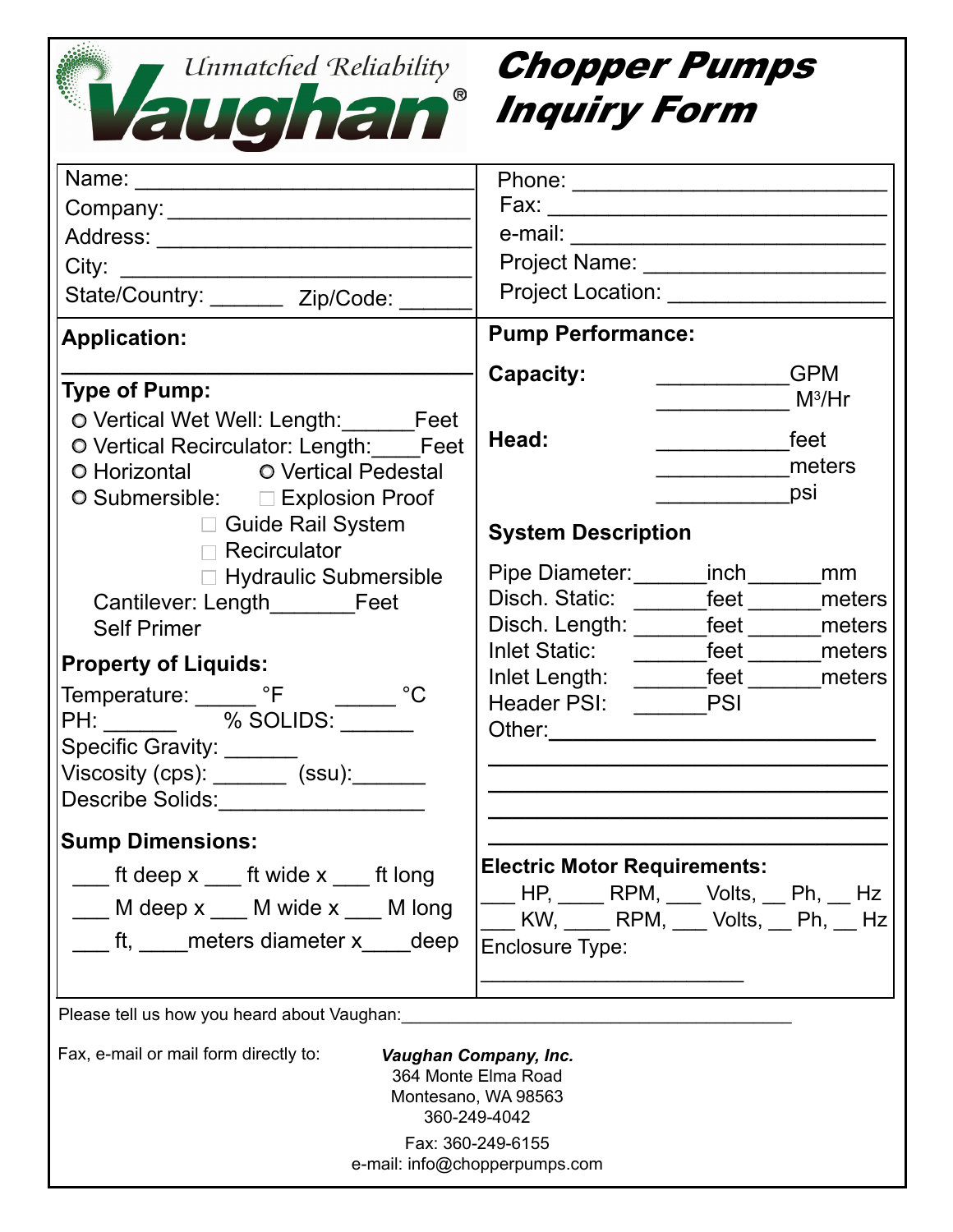| Unmatched Reliability<br>Vaughan                                                                                                                                                   | <b>Chopper Pumps</b><br><b>Inquiry Form</b>                                                                  |
|------------------------------------------------------------------------------------------------------------------------------------------------------------------------------------|--------------------------------------------------------------------------------------------------------------|
| Company: ___________________________                                                                                                                                               |                                                                                                              |
| Address: ___________________________                                                                                                                                               |                                                                                                              |
|                                                                                                                                                                                    | Project Name: _______________________                                                                        |
| State/Country: ________ Zip/Code: _                                                                                                                                                | Project Location: _______________                                                                            |
| <b>Application:</b>                                                                                                                                                                | <b>Pump Performance:</b>                                                                                     |
| <b>Type of Pump:</b><br>O Vertical Wet Well: Length: Feet<br>O Vertical Recirculator: Length: Feet                                                                                 | <b>Capacity:</b><br><b>GPM</b><br>$M^3/Hr$<br>Head:<br>feet                                                  |
| O Horizontal O Vertical Pedestal<br>○ Submersible: □ Explosion Proof                                                                                                               | meters<br>psi                                                                                                |
| □ Guide Rail System                                                                                                                                                                | <b>System Description</b>                                                                                    |
| $\Box$ Recirculator<br>□ Hydraulic Submersible<br>Cantilever: Length Feet<br><b>Self Primer</b>                                                                                    | Pipe Diameter: _______inch______<br>mm<br>Disch. Static:<br>feet _______meters<br>Disch. Length: feet meters |
| <b>Property of Liquids:</b>                                                                                                                                                        | Inlet Static: ______<br>$feet$ <sub>_______</sub><br>meters<br>Inlet Length:<br>feet ____<br>meters          |
| Temperature: F<br>$^{\circ}C$<br>PH: % SOLIDS:<br>Specific Gravity: ______<br>$Viscosity (cps):$ (ssu): (ssu):                                                                     | Header PSI:<br><b>PSI</b><br>Other:                                                                          |
| Describe Solids: Describe Solids:                                                                                                                                                  |                                                                                                              |
| <b>Sump Dimensions:</b>                                                                                                                                                            |                                                                                                              |
| $\frac{1}{\sqrt{1-x}}$ ft deep x $\frac{1}{\sqrt{1-x}}$ ft long                                                                                                                    | <b>Electric Motor Requirements:</b>                                                                          |
| ___ M deep x ___ M wide x ___ M long                                                                                                                                               | __ HP, ____ RPM, ___ Volts, __ Ph, __ Hz<br>__ KW, ____ RPM, ___ Volts, __ Ph, __ Hz                         |
| __ ft, ____ meters diameter x____deep                                                                                                                                              | Enclosure Type:                                                                                              |
| Please tell us how you heard about Vaughan:                                                                                                                                        |                                                                                                              |
| Fax, e-mail or mail form directly to:<br>Vaughan Company, Inc.<br>364 Monte Elma Road<br>Montesano, WA 98563<br>360-249-4042<br>Fax: 360-249-6155<br>e-mail: info@chopperpumps.com |                                                                                                              |